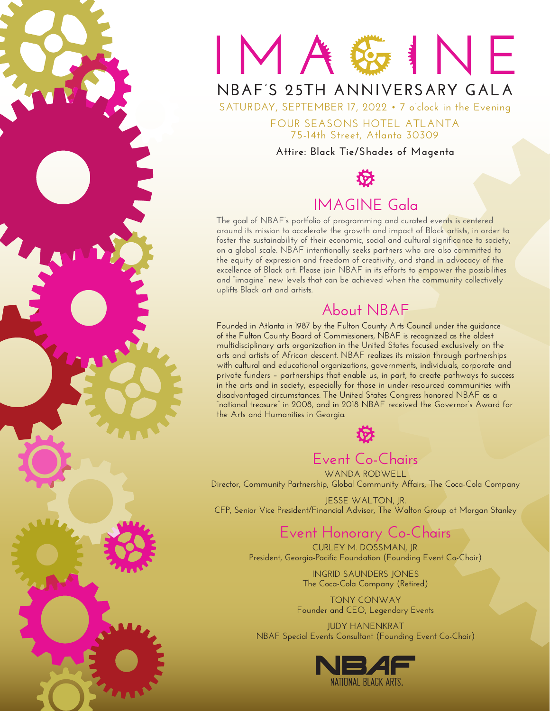

# MAGINE

# **NBAF's 25th Anniversary GALA**

**Saturday, September 17, 2022 • 7 o'clock in the Evening**

**Four Seasons Hotel Atlanta 75-14th Street, Atlanta 30309**

#### **Attire: Black Tie/Shades of Magenta**



# **IMAGINE Gala**

**The goal of NBAF's portfolio of programming and curated events is centered around its mission to accelerate the growth and impact of Black artists, in order to foster the sustainability of their economic, social and cultural significance to society, on a global scale. NBAF intentionally seeks partners who are also committed to the equity of expression and freedom of creativity, and stand in advocacy of the excellence of Black art. Please join NBAF in its efforts to empower the possibilities and "imagine" new levels that can be achieved when the community collectively uplifts Black art and artists.** 

# **About NBAF**

**Founded in Atlanta in 1987 by the Fulton County Arts Council under the guidance of the Fulton County Board of Commissioners, NBAF is recognized as the oldest multidisciplinary arts organization in the United States focused exclusively on the arts and artists of African descent. NBAF realizes its mission through partnerships with cultural and educational organizations, governments, individuals, corporate and private funders – partnerships that enable us, in part, to create pathways to success in the arts and in society, especially for those in under-resourced communities with disadvantaged circumstances. The United States Congress honored NBAF as a "national treasure" in 2008, and in 2018 NBAF received the Governor's Award for the Arts and Humanities in Georgia.**



# **Event Co-Chairs**

**Wanda Rodwell Director, Community Partnership, Global Community Affairs, The Coca-Cola Company**

**Jesse Walton, Jr. CFP, Senior Vice President/Financial Advisor, The Walton Group at Morgan Stanley**

# **Event Honorary Co-Chairs**

**Curley M. Dossman, Jr. President, Georgia-Pacific Foundation (Founding Event Co-Chair)**

> **Ingrid Saunders Jones The Coca-Cola Company (Retired)**

**Tony Conway Founder and CEO, Legendary Events**

**JUDY HANENKRAT NBAF Special Events Consultant (Founding Event Co-Chair)**